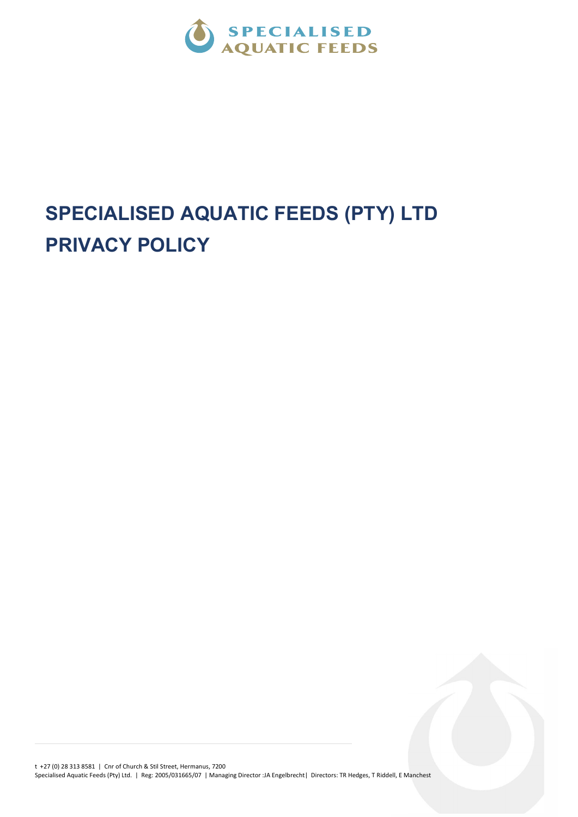

## SPECIALISED AQUATIC FEEDS (PTY) LTD PRIVACY POLICY

t +27 (0) 28 313 8581 | Cnr of Church & Stil Street, Hermanus, 7200 Specialised Aquatic Feeds (Pty) Ltd. | Reg: 2005/031665/07 | Managing Director :JA Engelbrecht| Directors: TR Hedges, T Riddell, E Manchest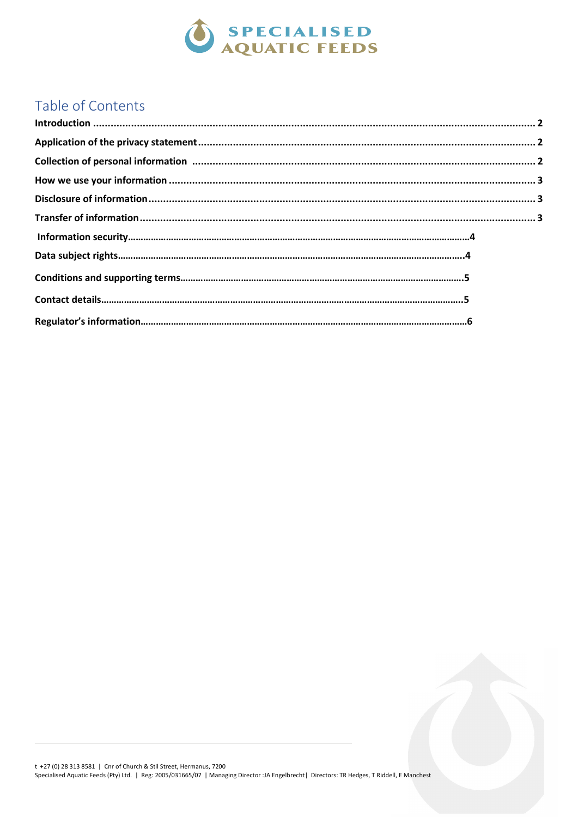

### Table of Contents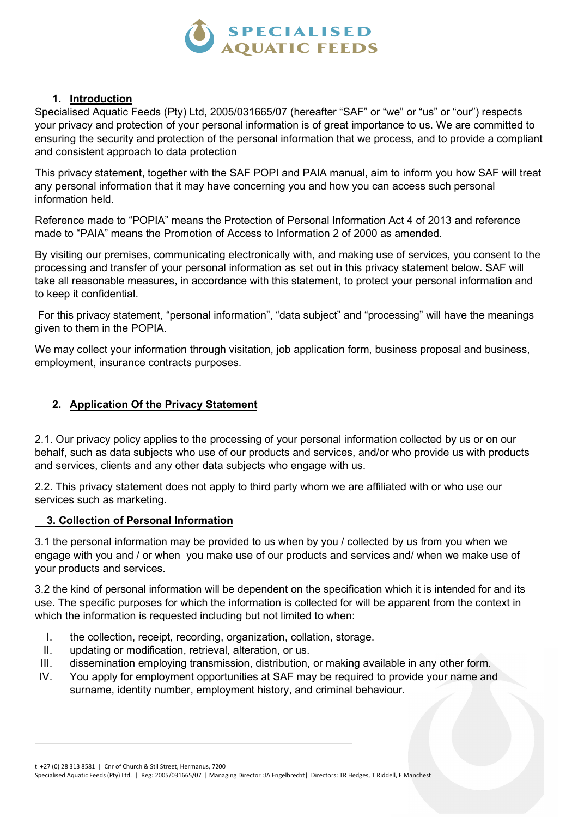

#### 1. Introduction

Specialised Aquatic Feeds (Pty) Ltd, 2005/031665/07 (hereafter "SAF" or "we" or "us" or "our") respects your privacy and protection of your personal information is of great importance to us. We are committed to ensuring the security and protection of the personal information that we process, and to provide a compliant and consistent approach to data protection

This privacy statement, together with the SAF POPI and PAIA manual, aim to inform you how SAF will treat any personal information that it may have concerning you and how you can access such personal information held.

Reference made to "POPIA" means the Protection of Personal Information Act 4 of 2013 and reference made to "PAIA" means the Promotion of Access to Information 2 of 2000 as amended.

By visiting our premises, communicating electronically with, and making use of services, you consent to the processing and transfer of your personal information as set out in this privacy statement below. SAF will take all reasonable measures, in accordance with this statement, to protect your personal information and to keep it confidential.

 For this privacy statement, "personal information", "data subject" and "processing" will have the meanings given to them in the POPIA.

We may collect your information through visitation, job application form, business proposal and business, employment, insurance contracts purposes.

#### 2. Application Of the Privacy Statement

2.1. Our privacy policy applies to the processing of your personal information collected by us or on our behalf, such as data subjects who use of our products and services, and/or who provide us with products and services, clients and any other data subjects who engage with us.

2.2. This privacy statement does not apply to third party whom we are affiliated with or who use our services such as marketing.

#### 3. Collection of Personal Information

3.1 the personal information may be provided to us when by you / collected by us from you when we engage with you and / or when you make use of our products and services and/ when we make use of your products and services.

3.2 the kind of personal information will be dependent on the specification which it is intended for and its use. The specific purposes for which the information is collected for will be apparent from the context in which the information is requested including but not limited to when:

- I. the collection, receipt, recording, organization, collation, storage.
- II. updating or modification, retrieval, alteration, or us.
- III. dissemination employing transmission, distribution, or making available in any other form.
- IV. You apply for employment opportunities at SAF may be required to provide your name and surname, identity number, employment history, and criminal behaviour.

t +27 (0) 28 313 8581 | Cnr of Church & Stil Street, Hermanus, 7200

Specialised Aquatic Feeds (Pty) Ltd. | Reg: 2005/031665/07 | Managing Director :JA Engelbrecht| Directors: TR Hedges, T Riddell, E Manchest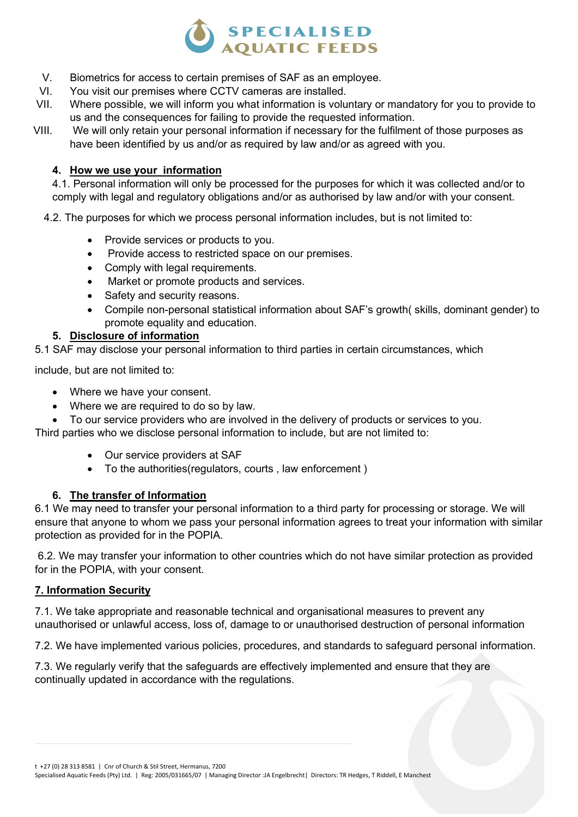

- V. Biometrics for access to certain premises of SAF as an employee.
- VI. You visit our premises where CCTV cameras are installed.
- VII. Where possible, we will inform you what information is voluntary or mandatory for you to provide to us and the consequences for failing to provide the requested information.
- VIII. We will only retain your personal information if necessary for the fulfilment of those purposes as have been identified by us and/or as required by law and/or as agreed with you.

#### 4. How we use your information

4.1. Personal information will only be processed for the purposes for which it was collected and/or to comply with legal and regulatory obligations and/or as authorised by law and/or with your consent.

- 4.2. The purposes for which we process personal information includes, but is not limited to:
	- Provide services or products to you.
	- Provide access to restricted space on our premises.
	- Comply with legal requirements.
	- Market or promote products and services.
	- Safety and security reasons.
	- Compile non-personal statistical information about SAF's growth( skills, dominant gender) to promote equality and education.

#### 5. Disclosure of information

5.1 SAF may disclose your personal information to third parties in certain circumstances, which

include, but are not limited to:

- Where we have your consent.
- Where we are required to do so by law.
- To our service providers who are involved in the delivery of products or services to you.

Third parties who we disclose personal information to include, but are not limited to:

- Our service providers at SAF
- To the authorities(regulators, courts , law enforcement )

#### 6. The transfer of Information

6.1 We may need to transfer your personal information to a third party for processing or storage. We will ensure that anyone to whom we pass your personal information agrees to treat your information with similar protection as provided for in the POPIA.

 6.2. We may transfer your information to other countries which do not have similar protection as provided for in the POPIA, with your consent.

#### 7. Information Security

7.1. We take appropriate and reasonable technical and organisational measures to prevent any unauthorised or unlawful access, loss of, damage to or unauthorised destruction of personal information

7.2. We have implemented various policies, procedures, and standards to safeguard personal information.

7.3. We regularly verify that the safeguards are effectively implemented and ensure that they are continually updated in accordance with the regulations.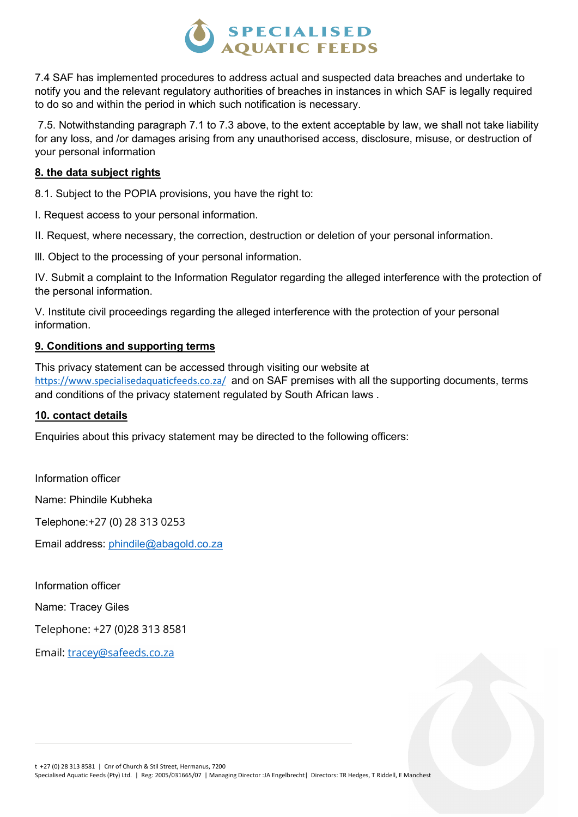# SPECIALISED<br>AQUATIC FEEDS

7.4 SAF has implemented procedures to address actual and suspected data breaches and undertake to notify you and the relevant regulatory authorities of breaches in instances in which SAF is legally required to do so and within the period in which such notification is necessary.

 7.5. Notwithstanding paragraph 7.1 to 7.3 above, to the extent acceptable by law, we shall not take liability for any loss, and /or damages arising from any unauthorised access, disclosure, misuse, or destruction of your personal information

#### 8. the data subject rights

8.1. Subject to the POPIA provisions, you have the right to:

I. Request access to your personal information.

II. Request, where necessary, the correction, destruction or deletion of your personal information.

lll. Object to the processing of your personal information.

IV. Submit a complaint to the Information Regulator regarding the alleged interference with the protection of the personal information.

V. Institute civil proceedings regarding the alleged interference with the protection of your personal information.

#### 9. Conditions and supporting terms

This privacy statement can be accessed through visiting our website at https://www.specialisedaquaticfeeds.co.za/ and on SAF premises with all the supporting documents, terms and conditions of the privacy statement regulated by South African laws .

#### 10. contact details

Enquiries about this privacy statement may be directed to the following officers:

Information officer Name: Phindile Kubheka Telephone:+27 (0) 28 313 0253 Email address: phindile@abagold.co.za

Information officer

Name: Tracey Giles

Telephone: +27 (0)28 313 8581

Email: tracey@safeeds.co.za